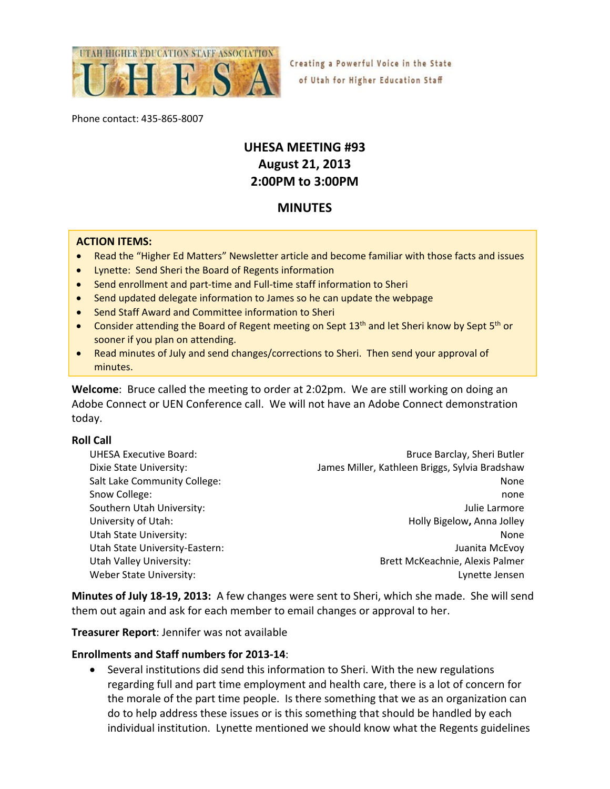

Creating a Powerful Voice in the State of Utah for Higher Education Staff

Phone contact: 435‐865‐8007

# **UHESA MEETING #93 August 21, 2013 2:00PM to 3:00PM**

# **MINUTES**

#### **ACTION ITEMS:**

- Read the "Higher Ed Matters" Newsletter article and become familiar with those facts and issues
- Lynette: Send Sheri the Board of Regents information
- Send enrollment and part-time and Full-time staff information to Sheri
- Send updated delegate information to James so he can update the webpage
- Send Staff Award and Committee information to Sheri
- Consider attending the Board of Regent meeting on Sept 13<sup>th</sup> and let Sheri know by Sept 5<sup>th</sup> or sooner if you plan on attending.
- Read minutes of July and send changes/corrections to Sheri. Then send your approval of minutes.

**Welcome**: Bruce called the meeting to order at 2:02pm. We are still working on doing an Adobe Connect or UEN Conference call. We will not have an Adobe Connect demonstration today.

#### **Roll Call**

| <b>UHESA Executive Board:</b><br>Dixie State University: | Bruce Barclay, Sheri Butler<br>James Miller, Kathleen Briggs, Sylvia Bradshaw |
|----------------------------------------------------------|-------------------------------------------------------------------------------|
| Salt Lake Community College:                             | None                                                                          |
| Snow College:                                            | none                                                                          |
| Southern Utah University:                                | Julie Larmore                                                                 |
| University of Utah:                                      | Holly Bigelow, Anna Jolley                                                    |
| <b>Utah State University:</b>                            | None                                                                          |
| Utah State University-Eastern:                           | Juanita McEvoy                                                                |
| Utah Valley University:                                  | Brett McKeachnie, Alexis Palmer                                               |
| Weber State University:                                  | Lynette Jensen                                                                |

**Minutes of July 18‐19, 2013:** A few changes were sent to Sheri, which she made. She will send them out again and ask for each member to email changes or approval to her.

**Treasurer Report**: Jennifer was not available

#### **Enrollments and Staff numbers for 2013‐14**:

 Several institutions did send this information to Sheri. With the new regulations regarding full and part time employment and health care, there is a lot of concern for the morale of the part time people. Is there something that we as an organization can do to help address these issues or is this something that should be handled by each individual institution. Lynette mentioned we should know what the Regents guidelines